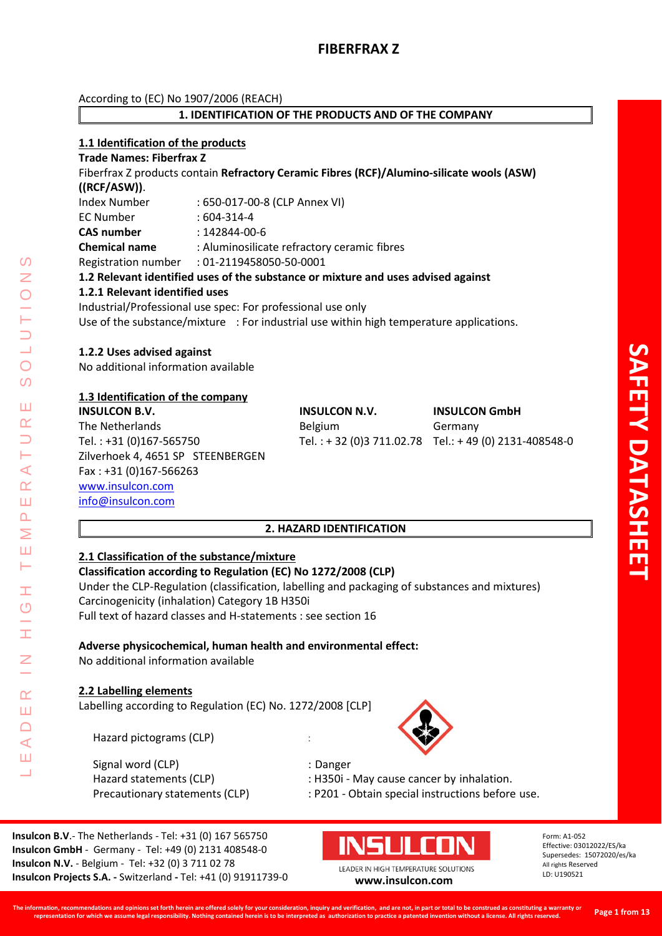二

According to (EC) No 1907/2006 (REACH)

# **1. IDENTIFICATION OF THE PRODUCTS AND OF THE COMPANY**

# **1.1 Identification of the products**

**Trade Names: Fiberfrax Z** Fiberfrax Z products contain **Refractory Ceramic Fibres (RCF)/Alumino-silicate wools (ASW) ((RCF/ASW))**. Index Number : 650-017-00-8 (CLP Annex VI) EC Number : 604-314-4 **CAS number** : 142844-00-6 **Chemical name** : Aluminosilicate refractory ceramic fibres Registration number : 01-2119458050-50-0001 **1.2 Relevant identified uses of the substance or mixture and uses advised against 1.2.1 Relevant identified uses** Industrial/Professional use spec: For professional use only Use of the substance/mixture : For industrial use within high temperature applications.

# **1.2.2 Uses advised against**

No additional information available

# **1.3 Identification of the company**

**INSULCON B.V. INSULCON N.V. INSULCON GmbH** The Netherlands and Belgium Germany Tel. : +31 (0)167-565750 Tel. : + 32 (0)3 711.02.78 Tel.: + 49 (0) 2131-408548-0 Zilverhoek 4, 4651 SP STEENBERGEN Fax : +31 (0)167-566263 [www.insulcon.com](http://www.insulcon.com/) [info@insulcon.com](mailto:info@insulcon.com)

# **2. HAZARD IDENTIFICATION**

#### **2.1 Classification of the substance/mixture Classification according to Regulation (EC) No 1272/2008 (CLP)**

Under the CLP-Regulation (classification, labelling and packaging of substances and mixtures) Carcinogenicity (inhalation) Category 1B H350i Full text of hazard classes and H-statements : see section 16

# **Adverse physicochemical, human health and environmental effect:**

No additional information available

# **2.2 Labelling elements**

Labelling according to Regulation (EC) No. 1272/2008 [CLP]

Hazard pictograms (CLP) :

Signal word (CLP) : Danger



Hazard statements (CLP) : H350i - May cause cancer by inhalation.

Precautionary statements (CLP) : P201 - Obtain special instructions before use.

**Insulcon B.V**.- The Netherlands - Tel: +31 (0) 167 565750 **Insulcon GmbH** - Germany - Tel: +49 (0) 2131 408548-0 **Insulcon N.V.** - Belgium - Tel: +32 (0) 3 711 02 78 **Insulcon Projects S.A. -** Switzerland **-** Tel: +41 (0) 91911739-0 **[www.insulcon.com](http://www.insulcon.com/)**



LEADER IN HIGH TEMPERATURE SOLUTIONS

Form: A1-052 Effective: 03012022/ES/ka Supersedes: 15072020/es/ka All rights Reserved LD: U190521

**SAFETY DATASHEET**

**AFETY DATASHEE**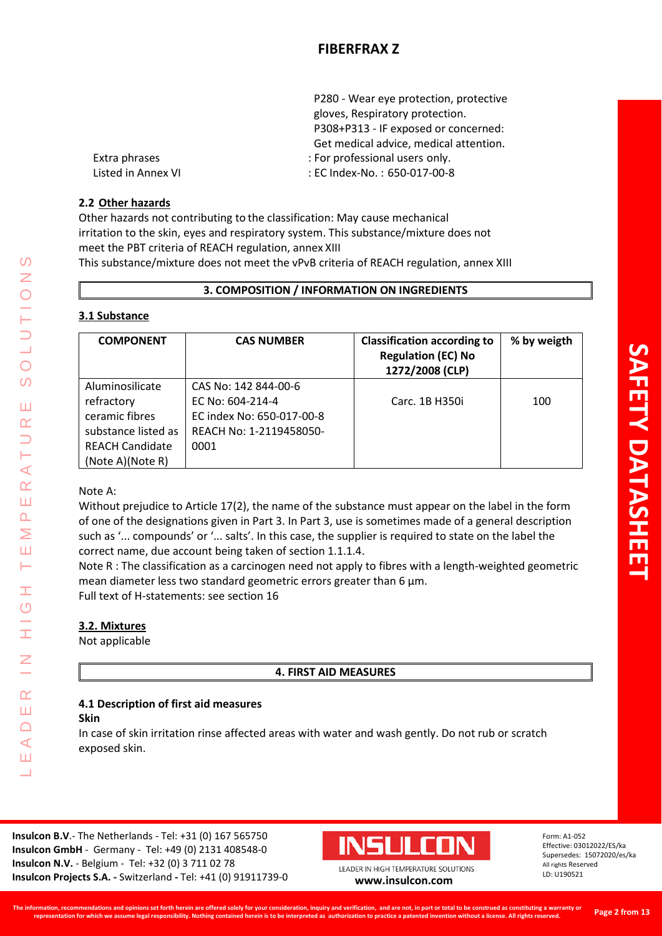|                    | P280 - Wear eye protection, protective |
|--------------------|----------------------------------------|
|                    | gloves, Respiratory protection.        |
|                    | P308+P313 - IF exposed or concerned:   |
|                    | Get medical advice, medical attention. |
| Extra phrases      | : For professional users only.         |
| Listed in Annex VI | : EC Index-No.: 650-017-00-8           |

# **2.2 Other hazards**

Other hazards not contributing to the classification: May cause mechanical irritation to the skin, eyes and respiratory system. This substance/mixture does not meet the PBT criteria of REACH regulation, annex XIII This substance/mixture does not meet the vPvB criteria of REACH regulation, annex XIII

**3. COMPOSITION / INFORMATION ON INGREDIENTS**

# **3.1 Substance**

| <b>COMPONENT</b>       | <b>CAS NUMBER</b>         | <b>Classification according to</b><br><b>Regulation (EC) No</b><br>1272/2008 (CLP) | % by weigth |
|------------------------|---------------------------|------------------------------------------------------------------------------------|-------------|
| Aluminosilicate        | CAS No: 142 844-00-6      |                                                                                    |             |
| refractory             | EC No: 604-214-4          | Carc. 1B H350i                                                                     | 100         |
| ceramic fibres         | EC index No: 650-017-00-8 |                                                                                    |             |
| substance listed as    | REACH No: 1-2119458050-   |                                                                                    |             |
| <b>REACH Candidate</b> | 0001                      |                                                                                    |             |
| (Note A)(Note R)       |                           |                                                                                    |             |

# Note A:

LEADER IN HIGH TEMPERATURE SOLUTIONS

Ŧ  $\overline{O}$ 

I

 $\alpha$ Ш  $\Box$  $\blacktriangleleft$ Ш <u>a l</u>

⋖  $\alpha$ Ш  $\overline{\mathbf{r}}$ Σ Ш  $\vdash$ 

 $\Omega$ Z

 $\bigcirc$ 

 $\overline{O}$ 

Ш  $\alpha$ 

> Without prejudice to Article 17(2), the name of the substance must appear on the label in the form of one of the designations given in Part 3. In Part 3, use is sometimes made of a general description such as '... compounds' or '... salts'. In this case, the supplier is required to state on the label the correct name, due account being taken of section 1.1.1.4.

Note R : The classification as a carcinogen need not apply to fibres with a length-weighted geometric mean diameter less two standard geometric errors greater than 6 μm. Full text of H-statements: see section 16

# **3.2. Mixtures**

Not applicable

# **4. FIRST AID MEASURES**

# **4.1 Description of first aid measures**

# **Skin**

In case of skin irritation rinse affected areas with water and wash gently. Do not rub or scratch exposed skin.

**Insulcon B.V**.- The Netherlands - Tel: +31 (0) 167 565750 **Insulcon GmbH** - Germany - Tel: +49 (0) 2131 408548-0 **Insulcon N.V.** - Belgium - Tel: +32 (0) 3 711 02 78 **Insulcon Projects S.A. -** Switzerland **-** Tel: +41 (0) 91911739-0 **[www.insulcon.com](http://www.insulcon.com/)**

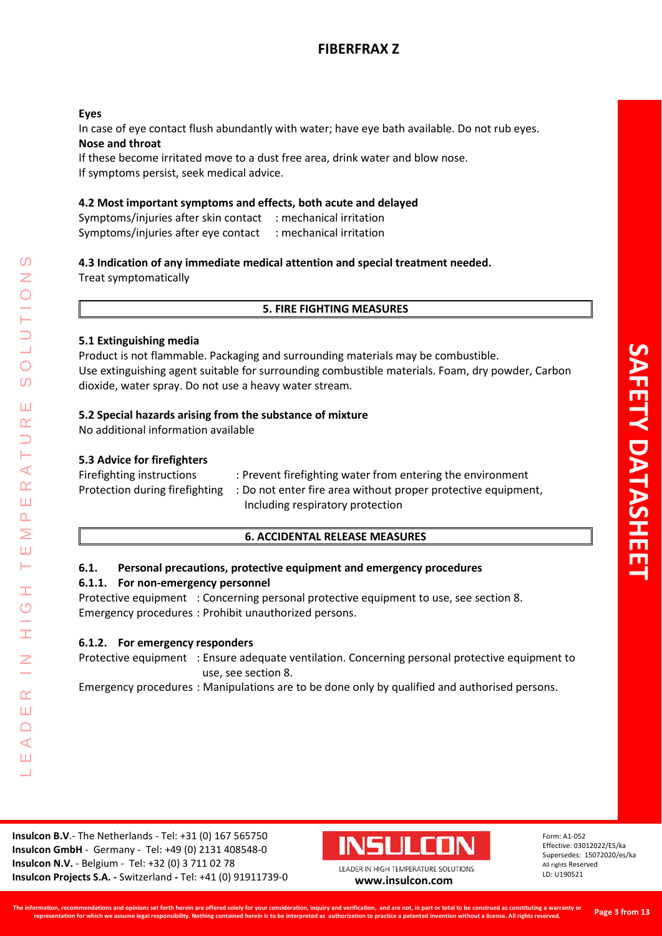# **Eyes**

In case of eye contact flush abundantly with water; have eye bath available. Do not rub eyes. **Nose and throat**

If these become irritated move to a dust free area, drink water and blow nose. If symptoms persist, seek medical advice.

# **4.2 Most important symptoms and effects, both acute and delayed**

Symptoms/injuries after skin contact : mechanical irritation Symptoms/injuries after eye contact : mechanical irritation

# **4.3 Indication of any immediate medical attention and special treatment needed.**

Treat symptomatically

# **5. FIRE FIGHTING MEASURES**

# **5.1 Extinguishing media**

Product is not flammable. Packaging and surrounding materials may be combustible. Use extinguishing agent suitable for surrounding combustible materials. Foam, dry powder, Carbon dioxide, water spray. Do not use a heavy water stream.

# **5.2 Special hazards arising from the substance of mixture**

No additional information available

# **5.3 Advice for firefighters**

LEADER IN HIGH TEMPERATURE SOLUTIONS

Ŧ  $\overline{O}$ 

 $\alpha$ Ш  $\Box$  $\blacktriangleleft$ Ш  $\overline{\phantom{0}}$ 

 $\prec$  $\alpha$ Ш  $\Delta$  $\geq$ Ш Н

 $\Omega$ Z

 $\overline{O}$  $\Omega$ 

Ш  $\alpha$ 

| Firefighting instructions      | : Prevent firefighting water from entering the environment    |
|--------------------------------|---------------------------------------------------------------|
| Protection during firefighting | : Do not enter fire area without proper protective equipment, |
|                                | Including respiratory protection                              |

# **6. ACCIDENTAL RELEASE MEASURES**

# **6.1. Personal precautions, protective equipment and emergency procedures**

# **6.1.1. For non-emergency personnel**

Protective equipment : Concerning personal protective equipment to use, see section 8. Emergency procedures : Prohibit unauthorized persons.

# **6.1.2. For emergency responders**

Protective equipment : Ensure adequate ventilation. Concerning personal protective equipment to use, see section 8.

Emergency procedures : Manipulations are to be done only by qualified and authorised persons.

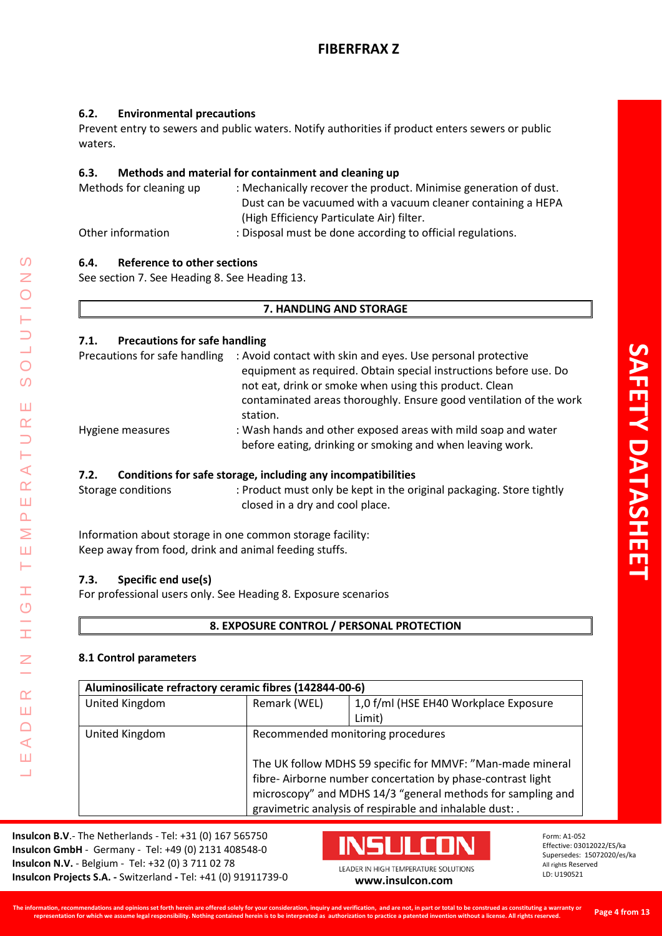# **6.2. Environmental precautions**

Prevent entry to sewers and public waters. Notify authorities if product enters sewers or public waters.

# **6.3. Methods and material for containment and cleaning up**

| Methods for cleaning up | : Mechanically recover the product. Minimise generation of dust. |
|-------------------------|------------------------------------------------------------------|
|                         | Dust can be vacuumed with a vacuum cleaner containing a HEPA     |
|                         | (High Efficiency Particulate Air) filter.                        |
| Other information       | : Disposal must be done according to official regulations.       |

# **6.4. Reference to other sections**

See section 7. See Heading 8. See Heading 13.

# **7. HANDLING AND STORAGE**

# **7.1. Precautions for safe handling**

| Precautions for safe handling | : Avoid contact with skin and eyes. Use personal protective<br>equipment as required. Obtain special instructions before use. Do<br>not eat, drink or smoke when using this product. Clean<br>contaminated areas thoroughly. Ensure good ventilation of the work<br>station. |
|-------------------------------|------------------------------------------------------------------------------------------------------------------------------------------------------------------------------------------------------------------------------------------------------------------------------|
| Hygiene measures              | : Wash hands and other exposed areas with mild soap and water<br>before eating, drinking or smoking and when leaving work.                                                                                                                                                   |

# **7.2. Conditions for safe storage, including any incompatibilities**

Storage conditions : Product must only be kept in the original packaging. Store tightly closed in a dry and cool place.

Information about storage in one common storage facility: Keep away from food, drink and animal feeding stuffs.

# **7.3. Specific end use(s)**

LEADER IN HIGH TEMPERATURE SOLUTIONS

Ŧ  $\overline{C}$ 

İ

 $\overline{z}$ 

 $\alpha$ Ш  $\Box$  $\prec$ Ш Ц

 $\Omega$  $\overline{z}$ 

 $\bigcirc$  $\overline{O}$ 

Ш  $\alpha$  $\overline{\phantom{0}}$ ⊢  $\prec$  $\underline{\alpha}$ Ш  $\overline{\mathbf{r}}$ Σ Ш Н

For professional users only. See Heading 8. Exposure scenarios

# **8. EXPOSURE CONTROL / PERSONAL PROTECTION**

# **8.1 Control parameters**

| Aluminosilicate refractory ceramic fibres (142844-00-6) |                                                             |                                       |
|---------------------------------------------------------|-------------------------------------------------------------|---------------------------------------|
| United Kingdom                                          | Remark (WEL)                                                | 1,0 f/ml (HSE EH40 Workplace Exposure |
|                                                         |                                                             | Limit)                                |
| United Kingdom                                          | Recommended monitoring procedures                           |                                       |
|                                                         | The UK follow MDHS 59 specific for MMVF: "Man-made mineral  |                                       |
|                                                         | fibre-Airborne number concertation by phase-contrast light  |                                       |
|                                                         | microscopy" and MDHS 14/3 "general methods for sampling and |                                       |
|                                                         | gravimetric analysis of respirable and inhalable dust: .    |                                       |

**Insulcon B.V**.- The Netherlands - Tel: +31 (0) 167 565750 **Insulcon GmbH** - Germany - Tel: +49 (0) 2131 408548-0 **Insulcon N.V.** - Belgium - Tel: +32 (0) 3 711 02 78 **Insulcon Projects S.A. -** Switzerland **-** Tel: +41 (0) 91911739-0 **[www.insulcon.com](http://www.insulcon.com/)**

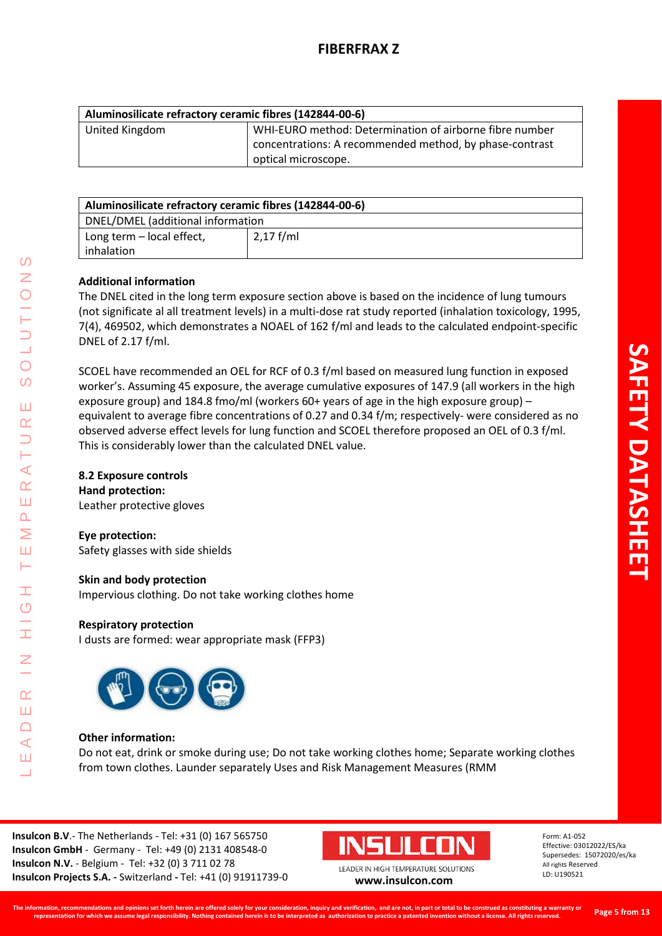| Aluminosilicate refractory ceramic fibres (142844-00-6) |                                                         |
|---------------------------------------------------------|---------------------------------------------------------|
| United Kingdom                                          | WHI-EURO method: Determination of airborne fibre number |
|                                                         | concentrations: A recommended method, by phase-contrast |
|                                                         | optical microscope.                                     |

| Aluminosilicate refractory ceramic fibres (142844-00-6) |             |
|---------------------------------------------------------|-------------|
| DNEL/DMEL (additional information                       |             |
| Long term - local effect,                               | $2,17$ f/ml |
| inhalation                                              |             |

# **Additional information**

The DNEL cited in the long term exposure section above is based on the incidence of lung tumours (not significate al all treatment levels) in a multi-dose rat study reported (inhalation toxicology, 1995, 7(4), 469502, which demonstrates a NOAEL of 162 f/ml and leads to the calculated endpoint-specific DNEL of 2.17 f/ml.

SCOEL have recommended an OEL for RCF of 0.3 f/ml based on measured lung function in exposed worker's. Assuming 45 exposure, the average cumulative exposures of 147.9 (all workers in the high exposure group) and 184.8 fmo/ml (workers 60+ years of age in the high exposure group) – equivalent to average fibre concentrations of 0.27 and 0.34 f/m; respectively- were considered as no observed adverse effect levels for lung function and SCOEL therefore proposed an OEL of 0.3 f/ml. This is considerably lower than the calculated DNEL value.

# **8.2 Exposure controls**

LEADER IN HIGH TEMPERATURE SOLUTIONS

Ŧ  $\overline{O}$ 

 $\alpha$ Ш  $\Box$  $\blacktriangleleft$ Ш  $\overline{\phantom{0}}$ 

 $\blacktriangleleft$  $\alpha$ Ш  $\overline{\mathbf{r}}$  $\geq$ Ш  $\vdash$ 

 $\Omega$ Z

 $\overline{O}$  $\overline{O}$ 

Ш  $\alpha$ 

> **Hand protection:**  Leather protective gloves

**Eye protection:**  Safety glasses with side shields

# **Skin and body protection**

Impervious clothing. Do not take working clothes home

# **Respiratory protection**

I dusts are formed: wear appropriate mask (FFP3)



# **Other information:**

Do not eat, drink or smoke during use; Do not take working clothes home; Separate working clothes from town clothes. Launder separately Uses and Risk Management Measures (RMM

**Insulcon B.V**.- The Netherlands - Tel: +31 (0) 167 565750 **Insulcon GmbH** - Germany - Tel: +49 (0) 2131 408548-0 **Insulcon N.V.** - Belgium - Tel: +32 (0) 3 711 02 78 **Insulcon Projects S.A. -** Switzerland **-** Tel: +41 (0) 91911739-0 **[www.insulcon.com](http://www.insulcon.com/)**

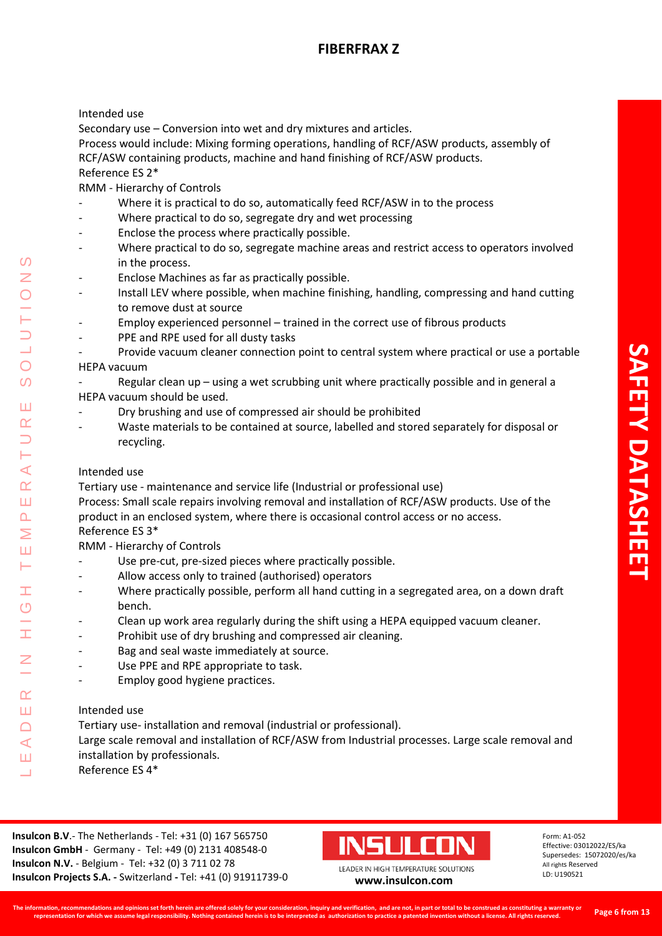# Intended use

Secondary use – Conversion into wet and dry mixtures and articles.

Process would include: Mixing forming operations, handling of RCF/ASW products, assembly of RCF/ASW containing products, machine and hand finishing of RCF/ASW products. Reference ES 2\*

RMM - Hierarchy of Controls

- Where it is practical to do so, automatically feed RCF/ASW in to the process
- Where practical to do so, segregate dry and wet processing
- Enclose the process where practically possible.
- Where practical to do so, segregate machine areas and restrict access to operators involved in the process.
- Enclose Machines as far as practically possible.
- Install LEV where possible, when machine finishing, handling, compressing and hand cutting to remove dust at source
- Employ experienced personnel trained in the correct use of fibrous products
- PPE and RPE used for all dusty tasks
- Provide vacuum cleaner connection point to central system where practical or use a portable

# HEPA vacuum

- Regular clean up using a wet scrubbing unit where practically possible and in general a HEPA vacuum should be used.
- Dry brushing and use of compressed air should be prohibited
- Waste materials to be contained at source, labelled and stored separately for disposal or recycling.

# Intended use

LEADER IN HIGH TEMPERATURE SOLUTIONS

Ŧ  $\circ$ 

 $\alpha$ Ш  $\Box$  $\blacktriangleleft$  $111$  $\overline{\phantom{0}}$ 

 $\blacktriangleleft$  $\alpha$ Ш  $\overline{\mathbf{r}}$ Σ Ш H.

 $\Omega$ 

 $\overline{O}$  $\Omega$ 

Ш  $\alpha$ 

Tertiary use - maintenance and service life (Industrial or professional use)

Process: Small scale repairs involving removal and installation of RCF/ASW products. Use of the product in an enclosed system, where there is occasional control access or no access. Reference ES 3\*

RMM - Hierarchy of Controls

- Use pre-cut, pre-sized pieces where practically possible.
- Allow access only to trained (authorised) operators
- Where practically possible, perform all hand cutting in a segregated area, on a down draft bench.
- Clean up work area regularly during the shift using a HEPA equipped vacuum cleaner.
- Prohibit use of dry brushing and compressed air cleaning.
- Bag and seal waste immediately at source.
- Use PPE and RPE appropriate to task.
- Employ good hygiene practices.

# Intended use

Tertiary use- installation and removal (industrial or professional).

- Large scale removal and installation of RCF/ASW from Industrial processes. Large scale removal and
- installation by professionals.
- Reference ES 4\*

**Insulcon B.V**.- The Netherlands - Tel: +31 (0) 167 565750 **Insulcon GmbH** - Germany - Tel: +49 (0) 2131 408548-0 **Insulcon N.V.** - Belgium - Tel: +32 (0) 3 711 02 78 **Insulcon Projects S.A. -** Switzerland **-** Tel: +41 (0) 91911739-0 **[www.insulcon.com](http://www.insulcon.com/)**



LEADER IN HIGH TEMPERATURE SOLUTIONS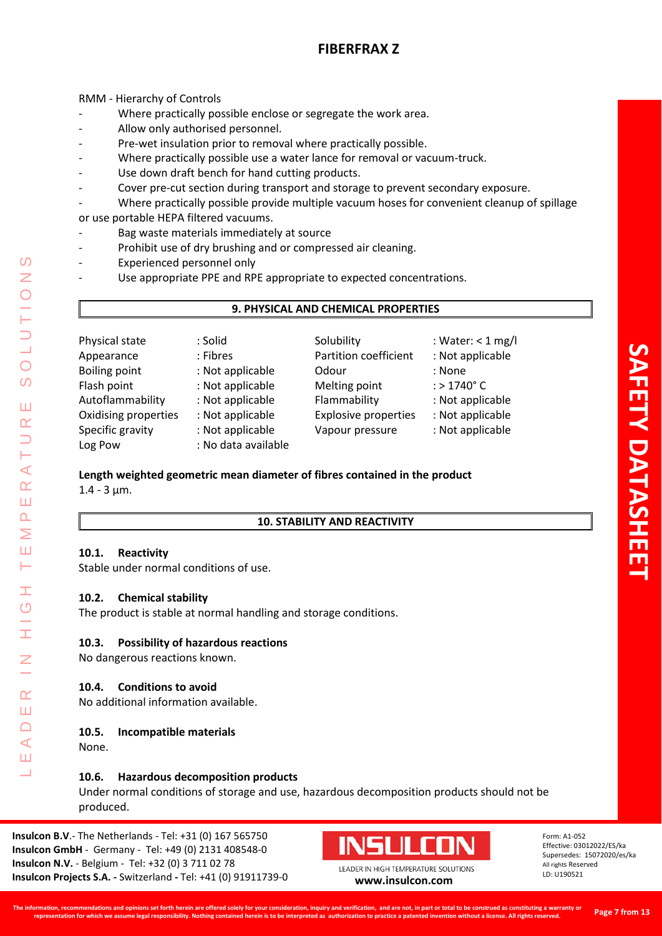RMM - Hierarchy of Controls

- Where practically possible enclose or segregate the work area.
- Allow only authorised personnel.
- Pre-wet insulation prior to removal where practically possible.
- Where practically possible use a water lance for removal or vacuum-truck.
- Use down draft bench for hand cutting products.
- Cover pre-cut section during transport and storage to prevent secondary exposure.
- Where practically possible provide multiple vacuum hoses for convenient cleanup of spillage or use portable HEPA filtered vacuums.
- Bag waste materials immediately at source
- Prohibit use of dry brushing and or compressed air cleaning.
- Experienced personnel only
- Use appropriate PPE and RPE appropriate to expected concentrations.

# **9. PHYSICAL AND CHEMICAL PROPERTIES**

| Physical state       | : Solid             | Solubility                  | : Water: $<$ 1 mg/l     |
|----------------------|---------------------|-----------------------------|-------------------------|
| Appearance           | : Fibres            | Partition coefficient       | : Not applicable        |
| <b>Boiling point</b> | : Not applicable    | Odour                       | : None                  |
| Flash point          | : Not applicable    | Melting point               | $:$ > 1740 $^{\circ}$ C |
| Autoflammability     | : Not applicable    | Flammability                | : Not applicable        |
| Oxidising properties | : Not applicable    | <b>Explosive properties</b> | : Not applicable        |
| Specific gravity     | : Not applicable    | Vapour pressure             | : Not applicable        |
| Log Pow              | : No data available |                             |                         |

# **Length weighted geometric mean diameter of fibres contained in the product**

 $1.4 - 3 \mu m$ .

LEADER IN HIGH TEMPERATURE SOLUTIONS

Ŧ  $\overline{O}$ 

 $\alpha$ Ш  $\Box$  $\blacktriangleleft$ Ш  $\overline{\phantom{0}}$ 

 $\prec$  $\alpha$ Ш  $\overline{\mathbf{r}}$ Σ Ш  $\vdash$ 

 $\Omega$ Z

 $\bigcirc$  $\Omega$ 

Ш  $\alpha$ 

# **10. STABILITY AND REACTIVITY**

# **10.1. Reactivity**

Stable under normal conditions of use.

# **10.2. Chemical stability**

The product is stable at normal handling and storage conditions.

# **10.3. Possibility of hazardous reactions**

No dangerous reactions known.

# **10.4. Conditions to avoid**

No additional information available.

# **10.5. Incompatible materials**

None.

# **10.6. Hazardous decomposition products**

Under normal conditions of storage and use, hazardous decomposition products should not be produced.

**Insulcon B.V**.- The Netherlands - Tel: +31 (0) 167 565750 **Insulcon GmbH** - Germany - Tel: +49 (0) 2131 408548-0 **Insulcon N.V.** - Belgium - Tel: +32 (0) 3 711 02 78 **Insulcon Projects S.A. -** Switzerland **-** Tel: +41 (0) 91911739-0 **[www.insulcon.com](http://www.insulcon.com/)**

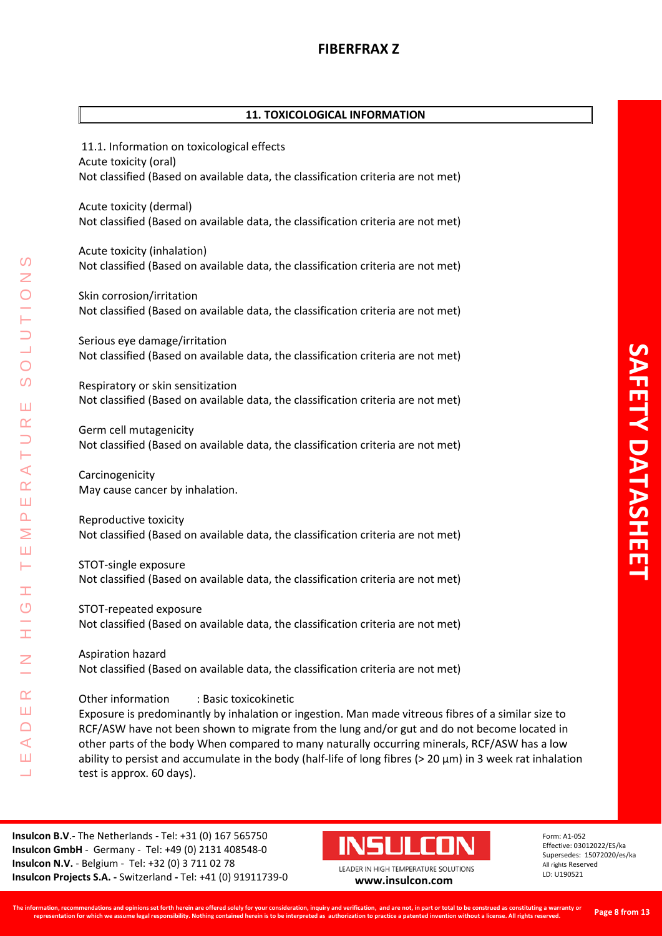# **11. TOXICOLOGICAL INFORMATION**

11.1. Information on toxicological effects Acute toxicity (oral) Not classified (Based on available data, the classification criteria are not met)

Acute toxicity (dermal) Not classified (Based on available data, the classification criteria are not met)

Acute toxicity (inhalation) Not classified (Based on available data, the classification criteria are not met)

Skin corrosion/irritation Not classified (Based on available data, the classification criteria are not met)

Serious eye damage/irritation Not classified (Based on available data, the classification criteria are not met)

Respiratory or skin sensitization Not classified (Based on available data, the classification criteria are not met)

Germ cell mutagenicity Not classified (Based on available data, the classification criteria are not met)

Carcinogenicity May cause cancer by inhalation.

LEADER IN HIGH TEMPERATURE SOLUTIONS

Ŧ  $\overline{C}$ 

H

 $\alpha$ Ш  $\Box$  $\prec$ Ш ┙

 $\prec$  $\underline{\alpha}$ Ш  $\Delta$ Σ Ш Н

 $\Omega$ 

 $\bigcirc$ 

 $\Omega$ 

Ш  $\alpha$ 

> Reproductive toxicity Not classified (Based on available data, the classification criteria are not met)

> STOT-single exposure Not classified (Based on available data, the classification criteria are not met)

> STOT-repeated exposure Not classified (Based on available data, the classification criteria are not met)

> Aspiration hazard Not classified (Based on available data, the classification criteria are not met)

Other information : Basic toxicokinetic Exposure is predominantly by inhalation or ingestion. Man made vitreous fibres of a similar size to RCF/ASW have not been shown to migrate from the lung and/or gut and do not become located in other parts of the body When compared to many naturally occurring minerals, RCF/ASW has a low ability to persist and accumulate in the body (half-life of long fibres (> 20 μm) in 3 week rat inhalation test is approx. 60 days).

**Insulcon B.V**.- The Netherlands - Tel: +31 (0) 167 565750 **Insulcon GmbH** - Germany - Tel: +49 (0) 2131 408548-0 **Insulcon N.V.** - Belgium - Tel: +32 (0) 3 711 02 78 **Insulcon Projects S.A. -** Switzerland **-** Tel: +41 (0) 91911739-0 **[www.insulcon.com](http://www.insulcon.com/)**

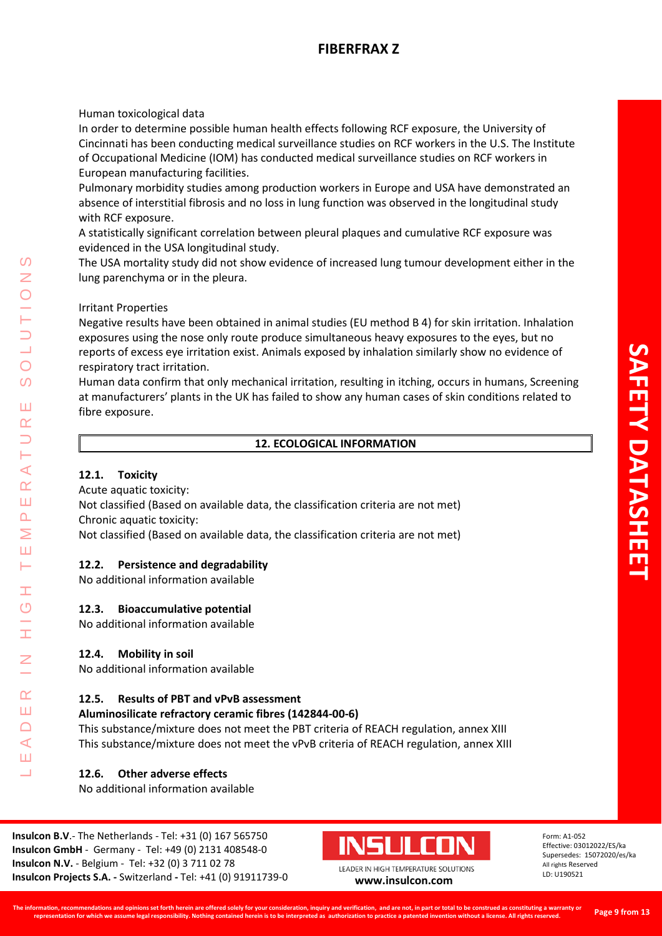Human toxicological data

In order to determine possible human health effects following RCF exposure, the University of Cincinnati has been conducting medical surveillance studies on RCF workers in the U.S. The Institute of Occupational Medicine (IOM) has conducted medical surveillance studies on RCF workers in European manufacturing facilities.

Pulmonary morbidity studies among production workers in Europe and USA have demonstrated an absence of interstitial fibrosis and no loss in lung function was observed in the longitudinal study with RCF exposure.

A statistically significant correlation between pleural plaques and cumulative RCF exposure was evidenced in the USA longitudinal study.

The USA mortality study did not show evidence of increased lung tumour development either in the lung parenchyma or in the pleura.

# Irritant Properties

Negative results have been obtained in animal studies (EU method B 4) for skin irritation. Inhalation exposures using the nose only route produce simultaneous heavy exposures to the eyes, but no reports of excess eye irritation exist. Animals exposed by inhalation similarly show no evidence of respiratory tract irritation.

Human data confirm that only mechanical irritation, resulting in itching, occurs in humans, Screening at manufacturers' plants in the UK has failed to show any human cases of skin conditions related to fibre exposure.

# **12. ECOLOGICAL INFORMATION**

# **12.1. Toxicity**

LEADER IN HIGH TEMPERATURE SOLUTIONS

Ŧ  $\overline{O}$ 

 $\alpha$ Ш  $\Box$  $\blacktriangleleft$ Ш ┙

 $\Omega$ Z

 $\bigcirc$  $\Omega$ 

Ш  $\alpha$ 

Н ⋖  $\alpha$ Ш  $\Delta$  $\geq$ Ш Н

Acute aquatic toxicity:

Not classified (Based on available data, the classification criteria are not met) Chronic aquatic toxicity:

Not classified (Based on available data, the classification criteria are not met)

# **12.2. Persistence and degradability**

No additional information available

# **12.3. Bioaccumulative potential**

No additional information available

# **12.4. Mobility in soil**

No additional information available

# **12.5. Results of PBT and vPvB assessment**

# **Aluminosilicate refractory ceramic fibres (142844-00-6)**

This substance/mixture does not meet the PBT criteria of REACH regulation, annex XIII This substance/mixture does not meet the vPvB criteria of REACH regulation, annex XIII

# **12.6. Other adverse effects**

No additional information available

**Insulcon B.V**.- The Netherlands - Tel: +31 (0) 167 565750 **Insulcon GmbH** - Germany - Tel: +49 (0) 2131 408548-0 **Insulcon N.V.** - Belgium - Tel: +32 (0) 3 711 02 78 **Insulcon Projects S.A. -** Switzerland **-** Tel: +41 (0) 91911739-0 **[www.insulcon.com](http://www.insulcon.com/)**

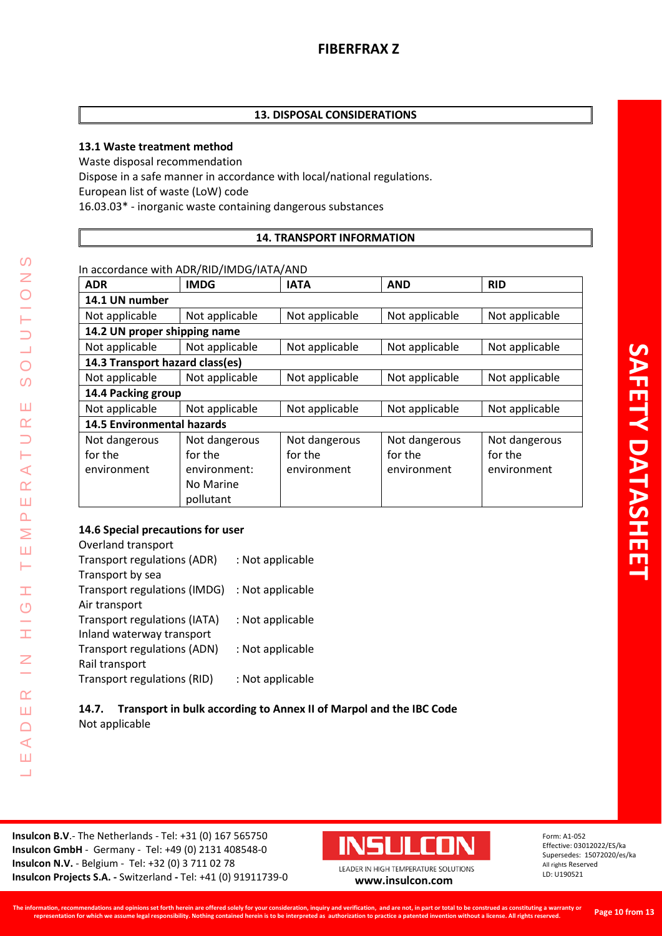# **13.1 Waste treatment method**

Waste disposal recommendation Dispose in a safe manner in accordance with local/national regulations. European list of waste (LoW) code 16.03.03\* - inorganic waste containing dangerous substances

# **14. TRANSPORT INFORMATION**

In accordance with ADR/RID/IMDG/IATA/AND

| <b>ADR</b>                        | <b>IMDG</b>    | <b>IATA</b>    | <b>AND</b>     | <b>RID</b>     |
|-----------------------------------|----------------|----------------|----------------|----------------|
| 14.1 UN number                    |                |                |                |                |
| Not applicable                    | Not applicable | Not applicable | Not applicable | Not applicable |
| 14.2 UN proper shipping name      |                |                |                |                |
| Not applicable                    | Not applicable | Not applicable | Not applicable | Not applicable |
| 14.3 Transport hazard class(es)   |                |                |                |                |
| Not applicable                    | Not applicable | Not applicable | Not applicable | Not applicable |
| 14.4 Packing group                |                |                |                |                |
| Not applicable                    | Not applicable | Not applicable | Not applicable | Not applicable |
| <b>14.5 Environmental hazards</b> |                |                |                |                |
| Not dangerous                     | Not dangerous  | Not dangerous  | Not dangerous  | Not dangerous  |
| for the                           | for the        | for the        | for the        | for the        |
| environment                       | environment:   | environment    | environment    | environment    |
|                                   | No Marine      |                |                |                |
|                                   | pollutant      |                |                |                |

# **14.6 Special precautions for user**

LEADER IN HIGH TEMPERATURE SOLUTIONS

**II**  $\overline{C}$ 

Ì,

 $\overline{z}$ 

 $\alpha$ Ш  $\Box$  $\prec$ Ш Ц

 $\Omega$ Z

 $\overline{O}$  $\overline{O}$ 

Ш  $\alpha$  $\Box$ H  $\prec$  $\alpha$ Ш  $\Delta$ Σ Ш Н

| Overland transport                  |                  |
|-------------------------------------|------------------|
| <b>Transport regulations (ADR)</b>  | : Not applicable |
| Transport by sea                    |                  |
| Transport regulations (IMDG)        | : Not applicable |
| Air transport                       |                  |
| <b>Transport regulations (IATA)</b> | : Not applicable |
| Inland waterway transport           |                  |
| <b>Transport regulations (ADN)</b>  | : Not applicable |
| Rail transport                      |                  |
| Transport regulations (RID)         | : Not applicable |

# **14.7. Transport in bulk according to Annex II of Marpol and the IBC Code** Not applicable

**Insulcon B.V**.- The Netherlands - Tel: +31 (0) 167 565750 **Insulcon GmbH** - Germany - Tel: +49 (0) 2131 408548-0 **Insulcon N.V.** - Belgium - Tel: +32 (0) 3 711 02 78 **Insulcon Projects S.A. -** Switzerland **-** Tel: +41 (0) 91911739-0 **[www.insulcon.com](http://www.insulcon.com/)**

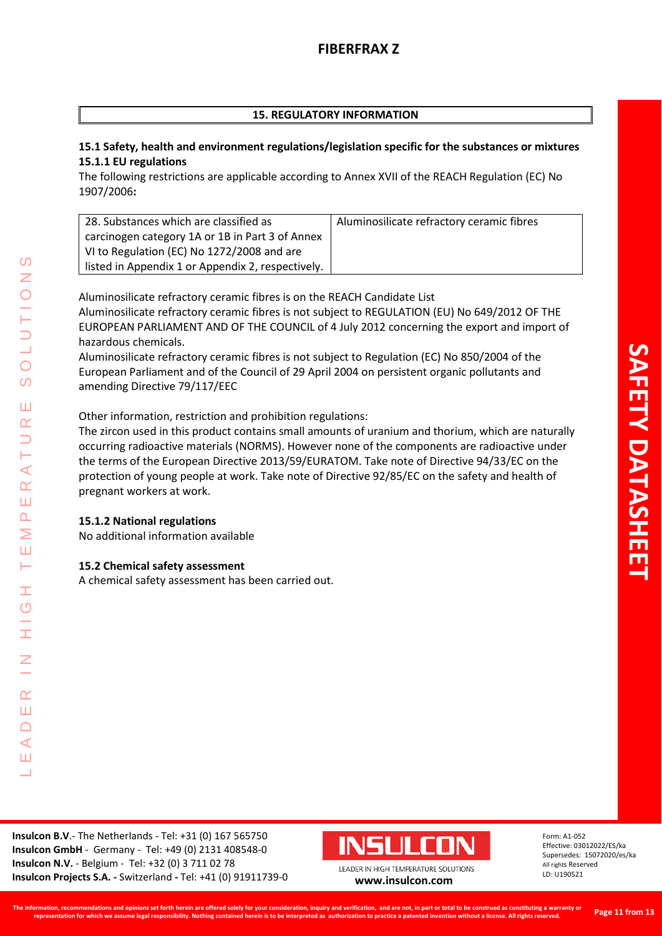# **15. REGULATORY INFORMATION**

# **15.1 Safety, health and environment regulations/legislation specific for the substances or mixtures 15.1.1 EU regulations**

The following restrictions are applicable according to Annex XVII of the REACH Regulation (EC) No 1907/2006**:**

| 28. Substances which are classified as            | Aluminosilicate refractory ceramic fibres |
|---------------------------------------------------|-------------------------------------------|
| carcinogen category 1A or 1B in Part 3 of Annex   |                                           |
| VI to Regulation (EC) No 1272/2008 and are        |                                           |
| listed in Appendix 1 or Appendix 2, respectively. |                                           |

Aluminosilicate refractory ceramic fibres is on the REACH Candidate List Aluminosilicate refractory ceramic fibres is not subject to REGULATION (EU) No 649/2012 OF THE EUROPEAN PARLIAMENT AND OF THE COUNCIL of 4 July 2012 concerning the export and import of hazardous chemicals.

Aluminosilicate refractory ceramic fibres is not subject to Regulation (EC) No 850/2004 of the European Parliament and of the Council of 29 April 2004 on persistent organic pollutants and amending Directive 79/117/EEC

Other information, restriction and prohibition regulations:

The zircon used in this product contains small amounts of uranium and thorium, which are naturally occurring radioactive materials (NORMS). However none of the components are radioactive under the terms of the European Directive 2013/59/EURATOM. Take note of Directive 94/33/EC on the protection of young people at work. Take note of Directive 92/85/EC on the safety and health of pregnant workers at work.

# **15.1.2 National regulations**

LEADER IN HIGH TEMPERATURE SOLUTIONS

Ŧ  $\overline{C}$ 

Ŧ

 $\alpha$ Ш  $\Box$  $\blacktriangleleft$ Ш  $\overline{\phantom{0}}$ 

 $\Omega$ Z

 $\bigcirc$  $\Omega$ 

Ш  $\alpha$  $\overline{\phantom{0}}$ H  $\prec$  $\underline{\alpha}$ Ш  $\Delta$  $\geq$ Ш Н

No additional information available

# **15.2 Chemical safety assessment**

A chemical safety assessment has been carried out.

**Insulcon B.V**.- The Netherlands - Tel: +31 (0) 167 565750 **Insulcon GmbH** - Germany - Tel: +49 (0) 2131 408548-0 **Insulcon N.V.** - Belgium - Tel: +32 (0) 3 711 02 78 **Insulcon Projects S.A. -** Switzerland **-** Tel: +41 (0) 91911739-0 **[www.insulcon.com](http://www.insulcon.com/)**

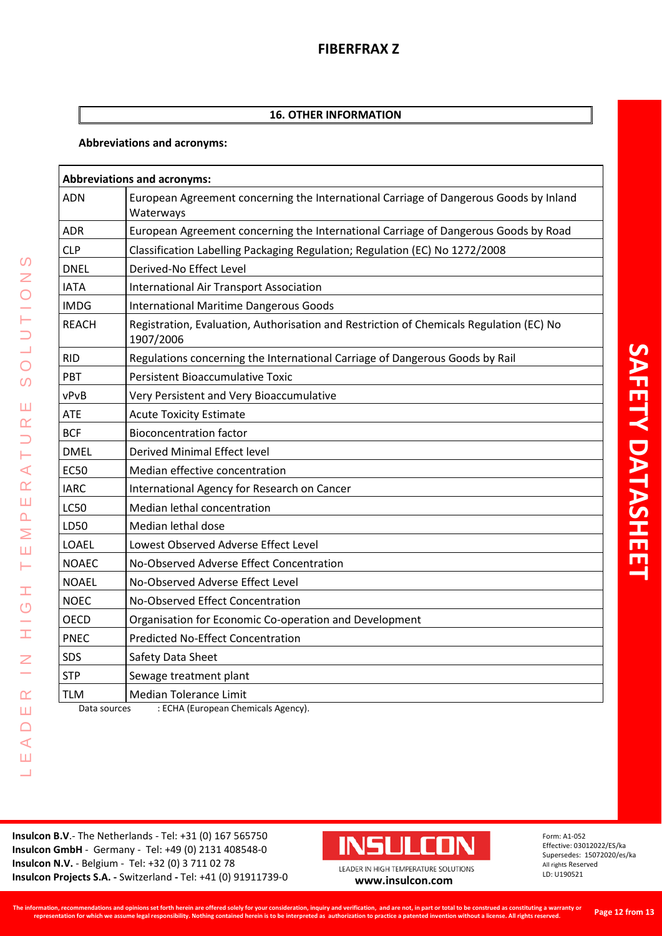# **16. OTHER INFORMATION**

# **Abbreviations and acronyms:**

| <b>Abbreviations and acronyms:</b> |                                                                                                      |  |
|------------------------------------|------------------------------------------------------------------------------------------------------|--|
| ADN                                | European Agreement concerning the International Carriage of Dangerous Goods by Inland<br>Waterways   |  |
| <b>ADR</b>                         | European Agreement concerning the International Carriage of Dangerous Goods by Road                  |  |
| <b>CLP</b>                         | Classification Labelling Packaging Regulation; Regulation (EC) No 1272/2008                          |  |
| <b>DNEL</b>                        | Derived-No Effect Level                                                                              |  |
| <b>IATA</b>                        | <b>International Air Transport Association</b>                                                       |  |
| <b>IMDG</b>                        | <b>International Maritime Dangerous Goods</b>                                                        |  |
| <b>REACH</b>                       | Registration, Evaluation, Authorisation and Restriction of Chemicals Regulation (EC) No<br>1907/2006 |  |
| <b>RID</b>                         | Regulations concerning the International Carriage of Dangerous Goods by Rail                         |  |
| PBT                                | <b>Persistent Bioaccumulative Toxic</b>                                                              |  |
| vPvB                               | Very Persistent and Very Bioaccumulative                                                             |  |
| ATE                                | <b>Acute Toxicity Estimate</b>                                                                       |  |
| <b>BCF</b>                         | <b>Bioconcentration factor</b>                                                                       |  |
| <b>DMEL</b>                        | <b>Derived Minimal Effect level</b>                                                                  |  |
| <b>EC50</b>                        | Median effective concentration                                                                       |  |
| <b>IARC</b>                        | International Agency for Research on Cancer                                                          |  |
| <b>LC50</b>                        | Median lethal concentration                                                                          |  |
| LD50                               | Median lethal dose                                                                                   |  |
| <b>LOAEL</b>                       | Lowest Observed Adverse Effect Level                                                                 |  |
| <b>NOAEC</b>                       | No-Observed Adverse Effect Concentration                                                             |  |
| <b>NOAEL</b>                       | No-Observed Adverse Effect Level                                                                     |  |
| <b>NOEC</b>                        | No-Observed Effect Concentration                                                                     |  |
| <b>OECD</b>                        | Organisation for Economic Co-operation and Development                                               |  |
| <b>PNEC</b>                        | <b>Predicted No-Effect Concentration</b>                                                             |  |
| SDS                                | Safety Data Sheet                                                                                    |  |
| <b>STP</b>                         | Sewage treatment plant                                                                               |  |
| <b>TLM</b>                         | <b>Median Tolerance Limit</b>                                                                        |  |

Data sources : ECHA (European Chemicals Agency).

**Insulcon B.V**.- The Netherlands - Tel: +31 (0) 167 565750 **Insulcon GmbH** - Germany - Tel: +49 (0) 2131 408548-0 **Insulcon N.V.** - Belgium - Tel: +32 (0) 3 711 02 78 **Insulcon N.V.** - Beigium - Tel: +32 (0) 3 711 02 78<br> **Insulcon Projects S.A.** - Switzerland - Tel: +41 (0) 91911739-0 **[www.insulcon.com](http://www.insulcon.com/)** 

LEADER IN HIGH TEMPERATURE SOLUTIONS

 $\pm$ 

 $\frac{G}{H}$ 

 $\leq$ 

 $\alpha$ Ш  $\Box$  $\prec$ Ш  $\overline{\phantom{0}}$ 

 $\Omega$ 

**NOILDTO** 

 $\overline{O}$ 

Ш  $\alpha$  $\Rightarrow$ Н  $\prec$  $\alpha$ Ш  $\Delta$ Σ Ш Н